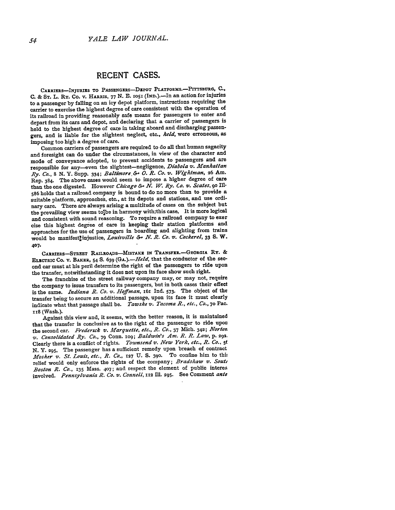## **RECENT CASES.**

CARRIERS-INJURIES **TO PASSENGERS-DEPOT** PLATFORMS.-PITTSBURG, **C., C. & ST. L.** Ry. Co. v. HARRIS, **77 N.** *E.* **IOSI** (IND.).-In an action for injuries to a passenger by falling on an icy depot platform, instructions requiring the carrier to exercise the highest degree of care consistent with the operation of its railroad in providing reasonably safe means for passengers to enter and depart from its cars and depot, and declaring that a carrier of passengers is held to the highest degree of care in taking aboard and discharging passengers, and is liable for the slightest neglect, etc., *held,* were erroneous, as imposing too high a degree of care.

Common carriers of passengers are required to do all that human sagacity and foresight can do under the circumstances, in view of the character and mode of conveyance adopted, to prevent accidents to passengers and are responsible for any-even the slightest-negligence, *Diabola v. Manhattan Ry. Co.,* **8 N. Y.** Supp. 334; *Baltimore. & 0. R. Co. v. W, htma,* **26** Am. Rep. **384.** The above cases would seem to impose a higher degree of care than the one digested. However *Chicago &- N. W. Ry. Co. v. Scates, go* Ill-**<sup>586</sup>**holds that a railroad company is bound to do no more than to provide a suitable platform, approaches, etc., at its depots and stations, and use ordinary care. There are always arising a multitude of cases on the subject but the prevailing view seems to the in harmony with; this case. It is more logical and consistent with sound reasoning. To require a railroad company to exer cise this highest degree of care in keeping their station platforms and approaches for the use of passengers in boarding and alighting from trains would be manifestfinjustice, *Louisville & N. R. Co. v. Cockerel,* **33 S.** W. **407.**

CARRIERS-STREET RAILROADS-MISTAKE IN TRANSFER. - GEORGIA RY. & ELECTRIC Co. v. BAKER, 54 **S. 639** *(GA.).-Held,* that the conductor of the second car must at his peril determine the right of the passengers to ride upon the transfer, notwithstanding it does not upon its face show such right.

The franchise of the street railway company may, or may not, require the company to issue transfers to its passengers, but in both cases their effect is the same. *Indiana R. Co. v. Hoffman,* 16i **Ind. 573.** The object of the transfer being to secure an additional passage, upon its face it must clearly indicate what that passage shall be. *Tawshe v. Tacoma R., etc., Co.,* **70** Pac. **IIS** (Wash.).

Against this view and, it **seems,** with the better reason, it is maintained that the transfer is conclusive as to the right of the passenger to ride upon the second car. *Frederick v. Marquette, etc., R. Co.*, 37 Mich. 342; Norton, *v. Consolidated Ry. Co.,* 79 Conn. **IO9;** *Baldwin's Am. R. R. Law, p.* 292. Clearly there is a conflict of rights. *Townsend v. New York, etc., R. Co., 5(* **N.** Y. **295,** The passenger has a sufficient remedy upon breach of contract *Mosher v. St. Louis, etc., R. Co.,* **127 U. S. 39 <sup>o</sup> .** To confine him to thit relief would only enforce the rights of the company; *Bradshaw v. Souty Boston R. Co.,* **135** Mass. **407;** and respect the element of public interes involved. *Pennsylvania R. Co. v. Connell,* **112 Ill. 295.** See Comment *ante*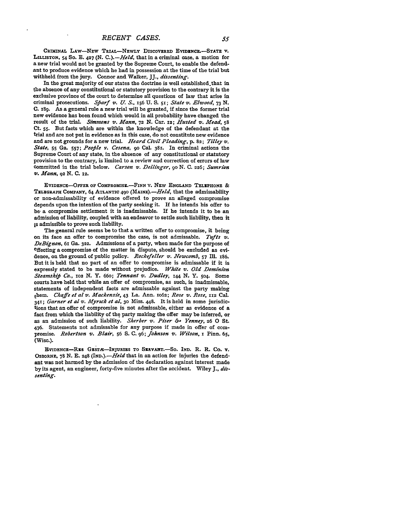CRIMINAL LAW-NEW TRIAL-NEWLY DISCOVERED EVIDENCE.-STATE **V**. LILLISTON, 54 **SO. E.** *427* **(N.** *C.).-Held,* that in a criminal case, a motion for a new trial would not be granted **by** the Supreme Court, to enable the defendant to produce evidence which he had in possession at the time of the trial but withheld from the jury. Connor and Walker, JJ., *dissenting.*

In the great majority of our states the doctrine is well established.that in the absence of any constitutional or statutory provision to the contrary it is the exclusive province of the court to determine all questions of law that arise in criminal prosecutions. *Sfiarf v. U. S.,* 156 **U. S. 5i;** *State v. Elwood, 73* **N. C. 189.** As a general rule a new trial will be granted, if since the former trial new evidence has been found which would in all probability have changed the result of the trial. *Simmons v. Mann,* **72 N.** Car. *12; Husted v. Mead, 58* Ct. **55.** But facts which are within the knowledge of the defendant at the trial and are not put in evidence as in this case, do not constitute new evidence and are not grounds for a new trial. *Heard Civil Pleading,* **p.** 82; *Tilley v. State,* **55 Ga. 557;** *Peofile v. Cesena,* **90** Cal. 38r. In criminal actions the Supreme Court of any state, in the absence of any constitutional or statutory provision to the contrary, is limited to a review and correction of errors of law committed in the trial below. *Carson v,. Dellinger,* **90 N. C. 226;** *Sumrion V. Mann, 92* **N. C. 12.**

EVIDENCE-OFFER **OF COMPROMISE.-FINN V. NEw ENGLAND TELEPHONE & TELEGRAPH COMPANY,** 64 **ATLANTIC 490** *(MAINE).-Held,* that the admissability or non-admissability of evidence offered to prove an alleged compromise depends upon the intention of the party seeking it. If he intends his offer to **be-** a compromise settlement it is inadmissable. If he intends it to be an admission of liability, coupled with an endeavor to settle such liability, then it is admissible to prove such liability.

The general rule seems be to that a written offer to compromise, it being on its face an offer to compromise the case, is not admissable. *Tufts v. DeBignon,* **6i** Ga. **322.** Admissions of a party, when made for the purpose of effecting a compromise of the matter in dispute, should be excluded as evidence, on the ground of public policy. *Rockefeller* **v.** *Newcomb,* **57 Ill. I86.** But it is held that no part of an offer to compromise is admissable if it is expressly stated to be made without prejudice. *White v. Old Dominion Steamshif Co., 102* **N.** Y. 66o; *Tennant v. Dudley, I44* **N. Y. 504. Some** courts have held that while an offer of compromise, as such, is inadmissable, statements of independent facts are admissable against the party making them. *Chafe et al v. Mackenzie,* 43 La. Ann. **IO62;** *Rose v. Rose,* **112** Cal. *3411; Garner et al v. Myrick et al,* **30** Miss. **448.** It is held in some jurisdictions that an offer of compromise is not admissable, either as evidence of a fact from which the liability of the party making the offer may be inferred, or as an admission of such liability. *Sherber v. Piser 6.5 Yenney,* **26 0** St. 476. Statements not admissable for any purpose if made in offer of com**promise.** *Robertson v. Blair,* 56 **S. C. 96;** *Johnson v. Wilson,* **I** Pinn. **65, (Wise.).**

**EVIDENcE-REs GXsvr-INJRIS TO** SIRVANT.-So. IND. R. R. Co. v. OSBORNE, **78 N. E.** *248 (IND.).-Held* **that** in **an** action for injuries the defendant was not harmed **by** the admission of the declaration against interest made **by** its agent, an engineer, forty-five minutes after the accident. Wiley J., *dissenting.*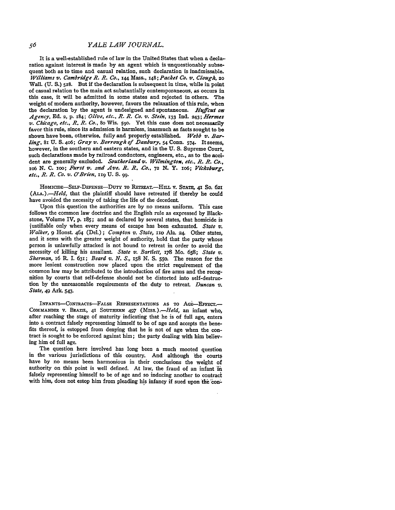It is a well-established rule of law in the United States that when a declaration against interest is made by an agent which is unquestionably subsequent both as to time and casual relation, such declaration is inadmissable. *Williams v. Cambridge R. R. Co.,* 144 Mass., 148; *Packet Co.* **vt.** *Clough, 20* Wall. (U. S.) 528. But if the declaration is subsequent in time, while in point of casual relation to the main act substantially contemporaneous, as occurs in this case, it will be admitted in some states and rejected in others. The weight of modern authority, however, favors the relaxation of this rule, when the declaration by the agent is undesigned and spontaneous. *Hufcut on-Agency,* **Ed.** 2, **p.** 184; *Olive, etc., R. R. Co. v. Stein,* **133 Ind.** 243; *Hermes v. Chicago, etc., R. R. Co.,* 80 Wis. 590. Yet this case does not necessarily favor this rule, since its admission is harmless, inasmuch as facts sought to be shown have been, otherwise, fully and properly established. *Webb v. Bar*ling, **8i** U. **S.** 406; Gray *v'. Borrough of Danbury,* **54** Conn. 574. It seems, however, in the southern and eastern states, and in the **U. S.** Supreme Court, such declarations made by railroad conductors, engineers, etc., as to the accident are generally excluded. *Southerland* v. *Wilmington, etc., R. R. Co.,* **zo6 N. C.** ioo; *Furst v. 2nd Ave.* **R.** R. *Co.,* **72 N.** Y. Io6; *Vicksburg, etc.,* R. R. *Co. v. O'Brien,* iig **U. S. 99.**

HOMICIE-SELF-DEFENsE-DuTY To RETRET.-HILL V. **STATE,** 41 So. **621** *(ALA.).-Held,* that the plaintiff should have retreated if thereby he could have avoided the necessity of taking the life of the decedent

Upon this question the authorities are by no means uniform. This case follows the common law doctrine and the English rule as expressed by Blackstone, Volume IV, p. 185; and as declared by several states, that homicide is justifiable only when every means of escape has been exhausted. *State v. Walker*, **9** Honst. 464 (Del.); *Compton v. State*, 110 Ala. 24. Other states, and it sens with the greater weight of authority, hold that the party whose person is unlawfully attacked is not bound to retreat in order to avoid the necessity of killing his assailant. *State v. Bartlett,* 178 Mo. **658;** *State v. Sherman, i6* R. I. 631; *Beard v. N. S.,* **158** N. S. 550. The reason for the more lenient construction now placed upon the strict requirement of the common law may be attributed to the introduction of fire arms and the recognition by courts that self-defense should not be distorted into self-destruction by the unreasonable requirements of the duty to retreat *Duncan v. State,* 49 Ark. 543.

INFANTS-CONTRACTS-FALSE REPRESENTATIONS AS TO AGE-EFFECT.-COMMANDER V. BRAZIL, 41 SOUTHERN 497 *(Miss.).-Held,* an infant who, after reaching the stage of maturity indicating that he is of full age, enters into a contract falsely representing himself to be of age and accepts the benefits thereof, is estopped from denying that he is not of age when the contract is sought to be enforced against him; the party dealing with him believing him of full age.

The question here involved has long been a much mooted question in the various jurisdictions of this country. And although the courts have by no means been harmonious in their conclusions the weight of authority on this point is well defined. At law, the fraud of an infant in falsely representing himself to be of age and so inducing another to contract with him, does not estop him from pleading his infancy if sued upon **the** \*on-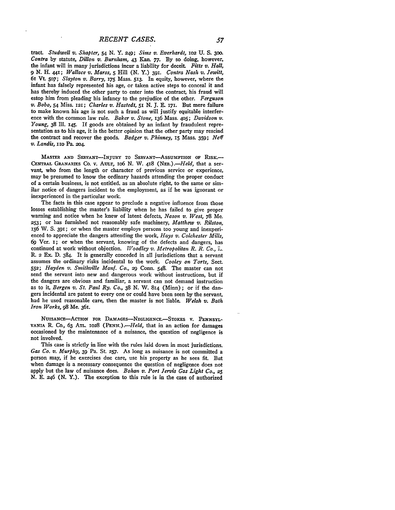tract *Studwell v. Shapter, 54* **N.** Y. 249; *Sims v. Everhardt,* **102 U. S. 300.** *Contra* **by** statute, *Dillon v. Burnham,* 43 **Kan. 77. By** so doing, however, the infant will in many jurisdictions incur a liability for deceit. *Fitts v. Hall,* 9 *N.* H. *44i; Wallace v. Marss,* 5 Hill **(N. Y.) 391.** *Contra Nash v. Jewitt,* 61 Vt **5o7;** *Slayton v. Barry,* **x75** Mass. **513.** In equity, however, where the infant has falsely represented his age, or taken active steps to conceal it and has thereby induced the other party to enter into the contract, his fraud will estop him from pleading his infancy to the prejudice of the other. *Ferguson v. Bobo,* **54** Miss. 121; *Charles v. Hastedt, 51* **N. J.** E **171.** But mere failure to make known his age is not such a fraud as will justify equitable interference with the common law rule. *Baker v. Stone,* 136 Mass. 4o5; *Davidson v. Young,* **38** Ill. 145. **If** goods are obtained **by** an infant **by** fraudulent representation as to his age, it is the better opinion that the other party may rescind the contract and recover the goods. *Badger v. Phinney,* **15** Mass. **359;** *Neff v. Landis,* iio Pa. **2o4**

**MASTER AND SERVANT-INJURY** TO **SERVANT-AssuMPTION OF RISK.- CENTRAL GRANARIES** Co. v. **AULT,** io6 **N.** W. **418** *(NEB.).-Held,* that a servant, who from the length or character of previous service or experience, may be presumed to know the ordinary hazards attending the proper conduct of a certain business, is not entitled, as an absolute right, to the same or similar notice of dangers incident to the employment, as if he was ignorant or inexperienced in the particular work.

The facts in this case appear to preclude a negative influence from those losses establishing the master's liability when he has failed to give proper warning and notice when he knew of latent defects, *Nason v. West,* **78** Me. **253;** or has furnished not reasonably safe machinery, *Matthew v. Rilston,* **156** W. **S.** 391; or when the master employs persons too young and inexperienced to appreciate the dangers attending the work, *Hays v. Colchester Mills,* **69** Ver. **I;** or when the servant, knowing of the defects and dangers, has continued at work without objection. *Woodley v. Metropolitan R. R. Co.*, *L.* R. 2 **Ex. D.** 384. It is generally conceded in all jurisdictions that a servant assumes the ordinary risks incidental to the work. *Cooley on Torts,* Sect. **552;** *Hayden v. Sinithville Manf. Co., 29* Conn. 548. The master can not send the servant into new and dangerous work without instructions, but if the dangers are obvious and familiar, a servant can not demand instruction as to it, *Bergen v. St. Paul Ry. Co.,* **38 N.** W. 814 (Minn); or if the dangers incidental are patent to every one or could have been seen **by** the servant, had he used reasonable care, then the master is not liable. *Welsh v. Bath Iron Works, 98* Me. 361.

NuISANcE-AcTioN **FOR** DAMAGES-NEGLIGENCE-STOKES **V. PENNSYL-**VANIA R. Co., 63 ATL. 1028 (PENN.).-Held, that in an action for damages occasioned **by** the maintenance of a nuisance, the question of negligence is not involved.

This case is strictly in line with the rules laid down in most jurisdictions. *Gas Co. v. Murphy,* **39** Pa. St. **257.** As long as nuisance is not committed a person may, if he exercises due care, use his property as he sees fit. But when damage is a necessary consequence the question of negligence does not apply but the law of nuisance does. *Bohan v. Port Jervis Gas Light Co., 25* **N. E.** 246 **(N.** Y.). The exception to this rule is in the case of authorized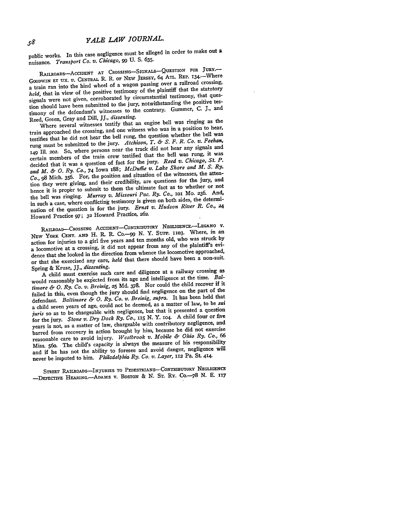public works. In this case negligence must be alleged in order to make out **<sup>a</sup>** nuisance. *Transport Co. v. Chicago, 99* **U.** S. **635.**

RAILROADS-ACCIDENT **AT CROSSING- SIGNALS-QUESTION** FOR **JURY.-** GOODWIN **ET UX.** V. **CENTRAL** R. R. **OF NEW JERSEY,** 64 ATL. REP. i 34.- Where a train ran into the hind wheel of a wagon passing over a railroad crossing, *held,* that in view of the positive testimony of the plaintiff that the statutory signals were not given, corroborated **by** circumstantial testimony, that question should have been submitted to the jury, notwithstanding the positive testimony of the defendant's witnesses to the contrary. Gummer, C. **J.,** and Reed, Green, Gray and Dill, *JJ., dissenting.*

Where several witnesses testify that an engine bell was ringing as the train approached the crossing, and one witness who was in a position to hear, testifies that he did not hear the bell rung, the question whether the bell was rung must be submitted to the jury. *Atchison, T. & S. F. R. Co. v. Feehan,* **149 I11.** 2o2. So, where persons near the track did not hear any signals and certain members of the train crew testified that the bell was rung, it was decided that it was a question of fact for the jury. *Reed v. Chicago, St. P. and M. & 0. Ry. Co.,* 74 Iowa i88; *McDuffie v. Lake Shore and M. S. Ry. Co., 98* Mich. **356.** For, the position and situation of the witnesses, the attention they were giving, and their credibility, are questions for the jury, and hence it is proper to submit to them the ultimate fact as to whether or not the bell was ringing. *Murray v. Missouri Pac. Ry. Co.,* **101** Mo. **236.** And, in such a case, where conflicting testimony is given on both sides, the determination of the question is for the jury. *Ernst v. Hudson River R. Co., 24* Howard Practice **97; 32** Howard Practice, **262.**

RAILROAD-CROSSING ACCIDENT-CONTRIBUTORY NEGLIGENCE.-LEGANO V. **NEW YORK CENT. AND** H. R. R. Co.--99 **N.** Y. Supp. **iio3.** Where, in an action for injuries to a girl five years and ten months old, who was struck **by** a locomotive at a crossing, it did not appear from any of the plaintiff's evidence that she looked in the direction from whence the locomotive approached, or that she exercised any care, held that there should have been a non-suit. Spring **&** Kruse, *JJ., dissenting.*

A child must exercise such care and diligence at a railway crossing as **would** reasonably be expected from its age and intelligence at the time. *Baltimnore & 0. Ry. Co. v. Breinig,* **25 Md. 378.** Nor could the child recover if it failed in this, even though the jury should find negligence on the part of the defendant. *Baltimore & 0. Ry. Co. v. Breinig, supra.* It has been held that a child seven years of age, could not be deemed, as a matter of law, to be *sui juris* so as to be chargeable with negligence, but that it presented a question for the jury. *Stone v. Dry Dock Ry. Co., 115* **N.** Y. io4. A child four or five years is not, as a matter of law, chargeable with contributory negligence, and barred from recovery in action brought **by** him, because he did not exercise reasonable care to avoid injury. *Westbrook v. Mobile & Ohio Ry. Co., 66* Miss. 56o. The child's capacity is always the measure of his responsibility and if he has not the ability to foresee and avoid danger, negligence will never be imputed to him. *Philadelphia Ry. Co. v. Layer,* **112** Pa. **St.** 414.

**STREET RAILROADS-INJURIES TO PEDESTRIANS-CONTRIBUTORY NEGLIGENcE** -DEFECTIVE HEARING.--ADAMS **v.** BOSTON & N. ST. RY. Co.-78 N. E. 117